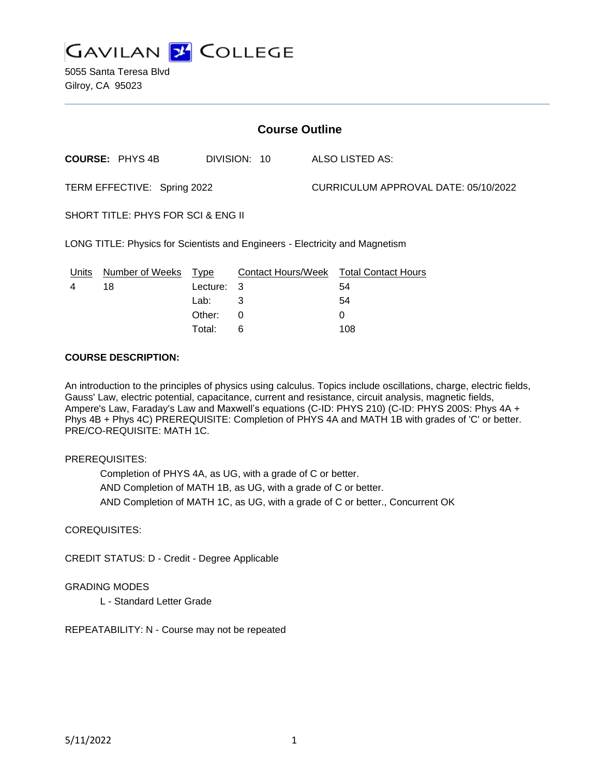

5055 Santa Teresa Blvd Gilroy, CA 95023

| <b>Course Outline</b>                                                        |                        |          |              |  |                                        |  |
|------------------------------------------------------------------------------|------------------------|----------|--------------|--|----------------------------------------|--|
|                                                                              | <b>COURSE: PHYS 4B</b> |          | DIVISION: 10 |  | ALSO LISTED AS:                        |  |
| TERM EFFECTIVE: Spring 2022                                                  |                        |          |              |  | CURRICULUM APPROVAL DATE: 05/10/2022   |  |
| SHORT TITLE: PHYS FOR SCI & ENG II                                           |                        |          |              |  |                                        |  |
| LONG TITLE: Physics for Scientists and Engineers - Electricity and Magnetism |                        |          |              |  |                                        |  |
| Units                                                                        | Number of Weeks Type   |          |              |  | Contact Hours/Week Total Contact Hours |  |
| 4                                                                            | 18                     | Lecture: | 3            |  | 54                                     |  |
|                                                                              |                        | Lab:     | 3            |  | 54                                     |  |
|                                                                              |                        | Other:   | 0            |  | 0                                      |  |

#### **COURSE DESCRIPTION:**

An introduction to the principles of physics using calculus. Topics include oscillations, charge, electric fields, Gauss' Law, electric potential, capacitance, current and resistance, circuit analysis, magnetic fields, Ampere's Law, Faraday's Law and Maxwell's equations (C-ID: PHYS 210) (C-ID: PHYS 200S: Phys 4A + Phys 4B + Phys 4C) PREREQUISITE: Completion of PHYS 4A and MATH 1B with grades of 'C' or better. PRE/CO-REQUISITE: MATH 1C.

#### PREREQUISITES:

Completion of PHYS 4A, as UG, with a grade of C or better. AND Completion of MATH 1B, as UG, with a grade of C or better. AND Completion of MATH 1C, as UG, with a grade of C or better., Concurrent OK

Total: 6 108

### COREQUISITES:

CREDIT STATUS: D - Credit - Degree Applicable

### GRADING MODES

L - Standard Letter Grade

REPEATABILITY: N - Course may not be repeated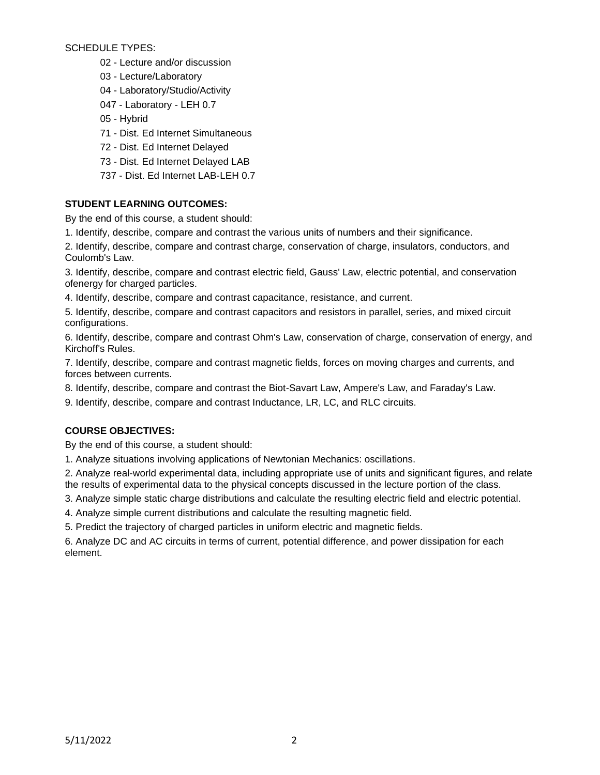SCHEDULE TYPES:

- 02 Lecture and/or discussion
- 03 Lecture/Laboratory
- 04 Laboratory/Studio/Activity
- 047 Laboratory LEH 0.7
- 05 Hybrid
- 71 Dist. Ed Internet Simultaneous
- 72 Dist. Ed Internet Delayed
- 73 Dist. Ed Internet Delayed LAB
- 737 Dist. Ed Internet LAB-LEH 0.7

# **STUDENT LEARNING OUTCOMES:**

By the end of this course, a student should:

1. Identify, describe, compare and contrast the various units of numbers and their significance.

2. Identify, describe, compare and contrast charge, conservation of charge, insulators, conductors, and Coulomb's Law.

3. Identify, describe, compare and contrast electric field, Gauss' Law, electric potential, and conservation ofenergy for charged particles.

4. Identify, describe, compare and contrast capacitance, resistance, and current.

5. Identify, describe, compare and contrast capacitors and resistors in parallel, series, and mixed circuit configurations.

6. Identify, describe, compare and contrast Ohm's Law, conservation of charge, conservation of energy, and Kirchoff's Rules.

7. Identify, describe, compare and contrast magnetic fields, forces on moving charges and currents, and forces between currents.

8. Identify, describe, compare and contrast the Biot-Savart Law, Ampere's Law, and Faraday's Law.

9. Identify, describe, compare and contrast Inductance, LR, LC, and RLC circuits.

# **COURSE OBJECTIVES:**

By the end of this course, a student should:

1. Analyze situations involving applications of Newtonian Mechanics: oscillations.

2. Analyze real-world experimental data, including appropriate use of units and significant figures, and relate the results of experimental data to the physical concepts discussed in the lecture portion of the class.

3. Analyze simple static charge distributions and calculate the resulting electric field and electric potential.

4. Analyze simple current distributions and calculate the resulting magnetic field.

5. Predict the trajectory of charged particles in uniform electric and magnetic fields.

6. Analyze DC and AC circuits in terms of current, potential difference, and power dissipation for each element.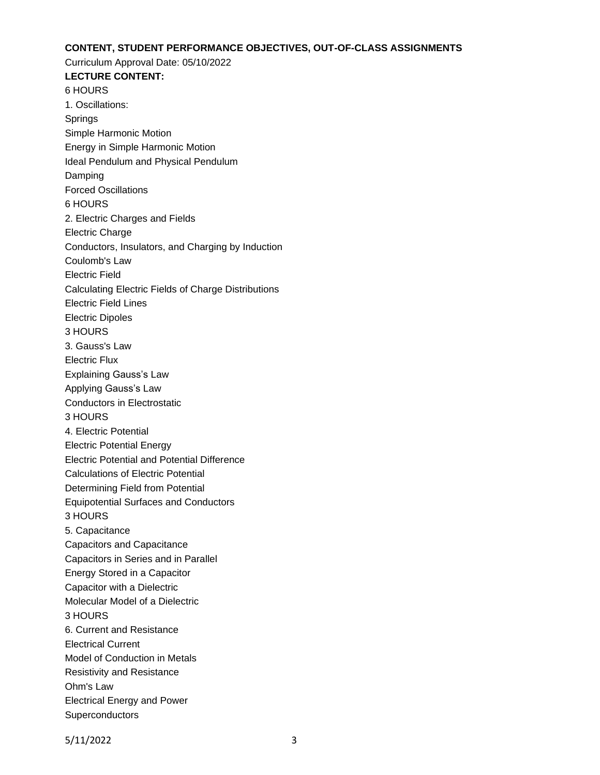### **CONTENT, STUDENT PERFORMANCE OBJECTIVES, OUT-OF-CLASS ASSIGNMENTS**

Curriculum Approval Date: 05/10/2022

**LECTURE CONTENT:** 6 HOURS 1. Oscillations: Springs Simple Harmonic Motion Energy in Simple Harmonic Motion Ideal Pendulum and Physical Pendulum Damping Forced Oscillations 6 HOURS 2. Electric Charges and Fields Electric Charge Conductors, Insulators, and Charging by Induction Coulomb's Law Electric Field Calculating Electric Fields of Charge Distributions Electric Field Lines Electric Dipoles 3 HOURS 3. Gauss's Law Electric Flux Explaining Gauss's Law Applying Gauss's Law Conductors in Electrostatic 3 HOURS 4. Electric Potential Electric Potential Energy Electric Potential and Potential Difference Calculations of Electric Potential Determining Field from Potential Equipotential Surfaces and Conductors 3 HOURS 5. Capacitance Capacitors and Capacitance Capacitors in Series and in Parallel Energy Stored in a Capacitor Capacitor with a Dielectric Molecular Model of a Dielectric 3 HOURS 6. Current and Resistance Electrical Current Model of Conduction in Metals Resistivity and Resistance Ohm's Law Electrical Energy and Power **Superconductors**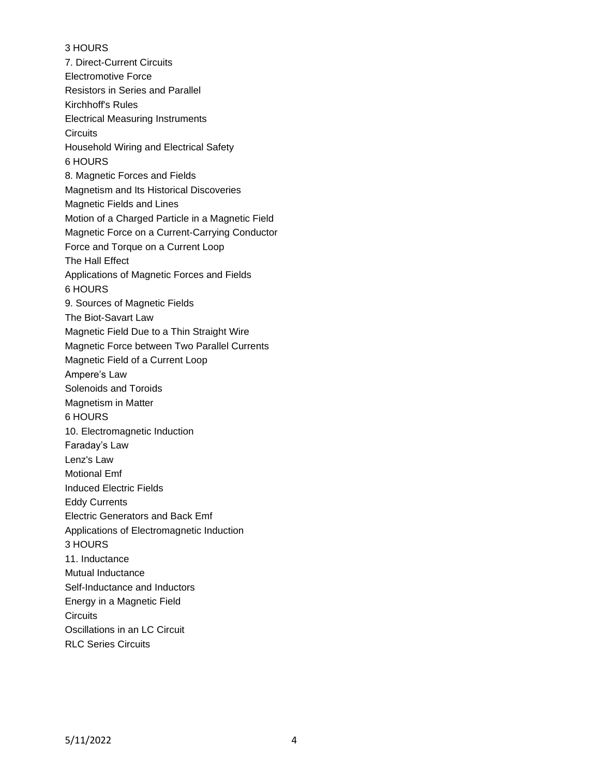## 3 HOURS

7. Direct-Current Circuits Electromotive Force Resistors in Series and Parallel Kirchhoff's Rules Electrical Measuring Instruments **Circuits** Household Wiring and Electrical Safety 6 HOURS 8. Magnetic Forces and Fields Magnetism and Its Historical Discoveries Magnetic Fields and Lines Motion of a Charged Particle in a Magnetic Field Magnetic Force on a Current-Carrying Conductor Force and Torque on a Current Loop The Hall Effect Applications of Magnetic Forces and Fields 6 HOURS 9. Sources of Magnetic Fields The Biot-Savart Law Magnetic Field Due to a Thin Straight Wire Magnetic Force between Two Parallel Currents Magnetic Field of a Current Loop Ampere's Law Solenoids and Toroids Magnetism in Matter 6 HOURS 10. Electromagnetic Induction Faraday's Law Lenz's Law Motional Emf Induced Electric Fields Eddy Currents Electric Generators and Back Emf Applications of Electromagnetic Induction 3 HOURS 11. Inductance Mutual Inductance Self-Inductance and Inductors Energy in a Magnetic Field **Circuits** Oscillations in an LC Circuit RLC Series Circuits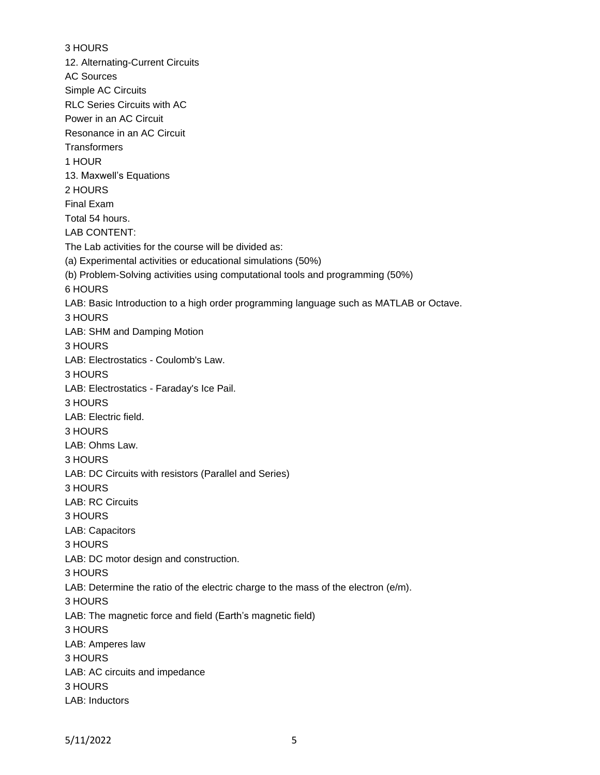3 HOURS 12. Alternating-Current Circuits AC Sources Simple AC Circuits RLC Series Circuits with AC Power in an AC Circuit Resonance in an AC Circuit **Transformers** 1 HOUR 13. Maxwell's Equations 2 HOURS Final Exam Total 54 hours. LAB CONTENT: The Lab activities for the course will be divided as: (a) Experimental activities or educational simulations (50%) (b) Problem-Solving activities using computational tools and programming (50%) 6 HOURS LAB: Basic Introduction to a high order programming language such as MATLAB or Octave. 3 HOURS LAB: SHM and Damping Motion 3 HOURS LAB: Electrostatics - Coulomb's Law. 3 HOURS LAB: Electrostatics - Faraday's Ice Pail. 3 HOURS LAB: Electric field. 3 HOURS LAB: Ohms Law. 3 HOURS LAB: DC Circuits with resistors (Parallel and Series) 3 HOURS LAB: RC Circuits 3 HOURS LAB: Capacitors 3 HOURS LAB: DC motor design and construction. 3 HOURS LAB: Determine the ratio of the electric charge to the mass of the electron (e/m). 3 HOURS LAB: The magnetic force and field (Earth's magnetic field) 3 HOURS LAB: Amperes law 3 HOURS LAB: AC circuits and impedance 3 HOURS LAB: Inductors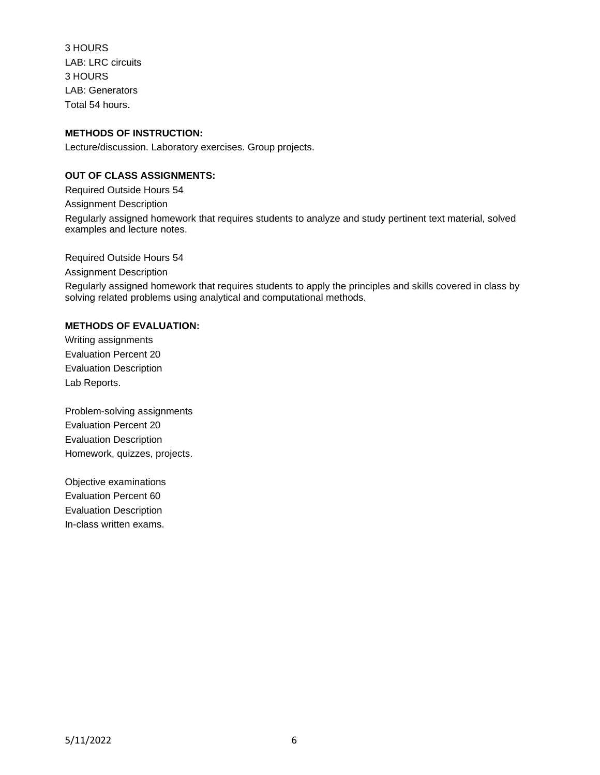3 HOURS LAB: LRC circuits 3 HOURS LAB: Generators Total 54 hours.

# **METHODS OF INSTRUCTION:**

Lecture/discussion. Laboratory exercises. Group projects.

## **OUT OF CLASS ASSIGNMENTS:**

Required Outside Hours 54 Assignment Description Regularly assigned homework that requires students to analyze and study pertinent text material, solved examples and lecture notes.

Required Outside Hours 54

Assignment Description

Regularly assigned homework that requires students to apply the principles and skills covered in class by solving related problems using analytical and computational methods.

#### **METHODS OF EVALUATION:**

Writing assignments Evaluation Percent 20 Evaluation Description Lab Reports.

Problem-solving assignments Evaluation Percent 20 Evaluation Description Homework, quizzes, projects.

Objective examinations Evaluation Percent 60 Evaluation Description In-class written exams.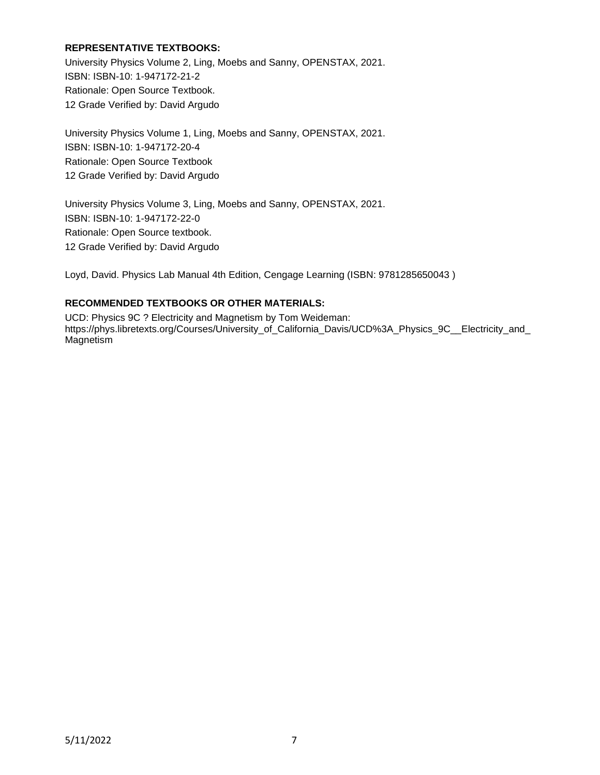## **REPRESENTATIVE TEXTBOOKS:**

University Physics Volume 2, Ling, Moebs and Sanny, OPENSTAX, 2021. ISBN: ISBN-10: 1-947172-21-2 Rationale: Open Source Textbook. 12 Grade Verified by: David Argudo

University Physics Volume 1, Ling, Moebs and Sanny, OPENSTAX, 2021. ISBN: ISBN-10: 1-947172-20-4 Rationale: Open Source Textbook 12 Grade Verified by: David Argudo

University Physics Volume 3, Ling, Moebs and Sanny, OPENSTAX, 2021. ISBN: ISBN-10: 1-947172-22-0 Rationale: Open Source textbook. 12 Grade Verified by: David Argudo

Loyd, David. Physics Lab Manual 4th Edition, Cengage Learning (ISBN: 9781285650043 )

### **RECOMMENDED TEXTBOOKS OR OTHER MATERIALS:**

UCD: Physics 9C ? Electricity and Magnetism by Tom Weideman: https://phys.libretexts.org/Courses/University\_of\_California\_Davis/UCD%3A\_Physics\_9C\_\_Electricity\_and\_ Magnetism